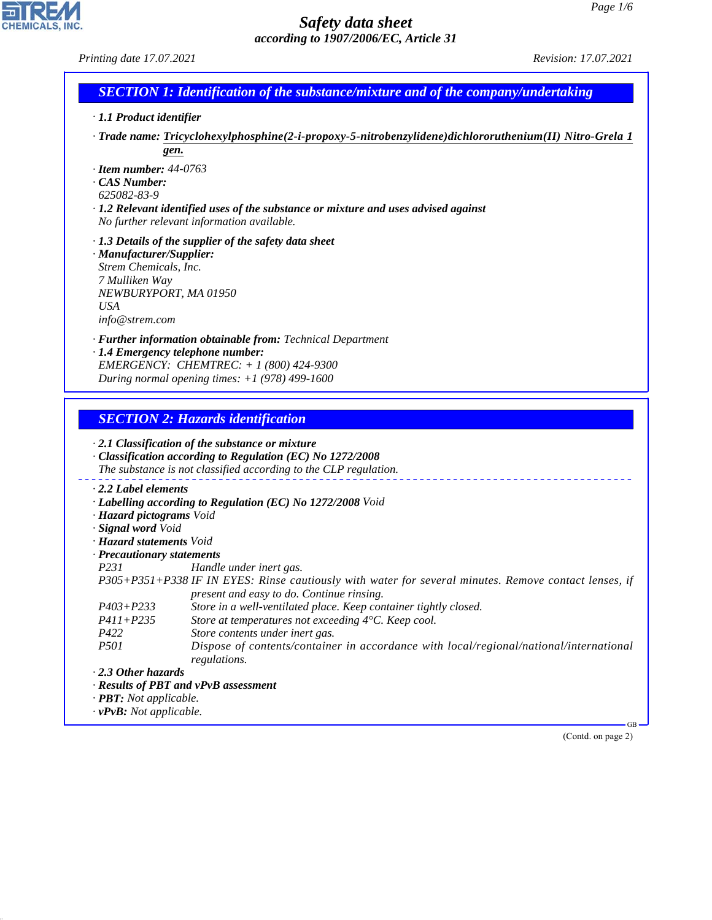*Printing date 17.07.2021 Revision: 17.07.2021*

**CHEMICALS, INC.** 

| SECTION 1: Identification of the substance/mixture and of the company/undertaking |
|-----------------------------------------------------------------------------------|
|                                                                                   |

- *· 1.1 Product identifier*
- *· Trade name: Tricyclohexylphosphine(2-i-propoxy-5-nitrobenzylidene)dichlororuthenium(II) Nitro-Grela 1 gen.*
- *· Item number: 44-0763*
- *· CAS Number:*
- *625082-83-9*

44.1.1

- *· 1.2 Relevant identified uses of the substance or mixture and uses advised against No further relevant information available.*
- *· 1.3 Details of the supplier of the safety data sheet*
- *· Manufacturer/Supplier: Strem Chemicals, Inc. 7 Mulliken Way NEWBURYPORT, MA 01950 USA info@strem.com*
- *· Further information obtainable from: Technical Department*
- *· 1.4 Emergency telephone number: EMERGENCY: CHEMTREC: + 1 (800) 424-9300 During normal opening times: +1 (978) 499-1600*

# *SECTION 2: Hazards identification*

|                                            | $\cdot$ 2.1 Classification of the substance or mixture<br>Classification according to Regulation (EC) No 1272/2008<br>The substance is not classified according to the CLP regulation. |
|--------------------------------------------|----------------------------------------------------------------------------------------------------------------------------------------------------------------------------------------|
| 2.2 Label elements                         |                                                                                                                                                                                        |
|                                            | $\cdot$ Labelling according to Regulation (EC) No 1272/2008 Void                                                                                                                       |
| · Hazard pictograms Void                   |                                                                                                                                                                                        |
| · Signal word Void                         |                                                                                                                                                                                        |
| · <b>Hazard statements</b> Void            |                                                                                                                                                                                        |
| $\cdot$ Precautionary statements           |                                                                                                                                                                                        |
| <i>P231</i>                                | Handle under inert gas.                                                                                                                                                                |
|                                            | P305+P351+P338 IF IN EYES: Rinse cautiously with water for several minutes. Remove contact lenses, if                                                                                  |
|                                            | present and easy to do. Continue rinsing.                                                                                                                                              |
| $P403 + P233$                              | Store in a well-ventilated place. Keep container tightly closed.                                                                                                                       |
| $P411 + P235$                              | Store at temperatures not exceeding $4^{\circ}$ C. Keep cool.                                                                                                                          |
| P422                                       | Store contents under inert gas.                                                                                                                                                        |
| <i>P501</i>                                | Dispose of contents/container in accordance with local/regional/national/international                                                                                                 |
|                                            | regulations.                                                                                                                                                                           |
| $\cdot$ 2.3 Other hazards                  |                                                                                                                                                                                        |
| $\cdot$ Results of PBT and vPvB assessment |                                                                                                                                                                                        |
| $\cdot$ <b>PBT:</b> Not applicable.        |                                                                                                                                                                                        |
| $\cdot$ vPvB: Not applicable.              |                                                                                                                                                                                        |

(Contd. on page 2)

GB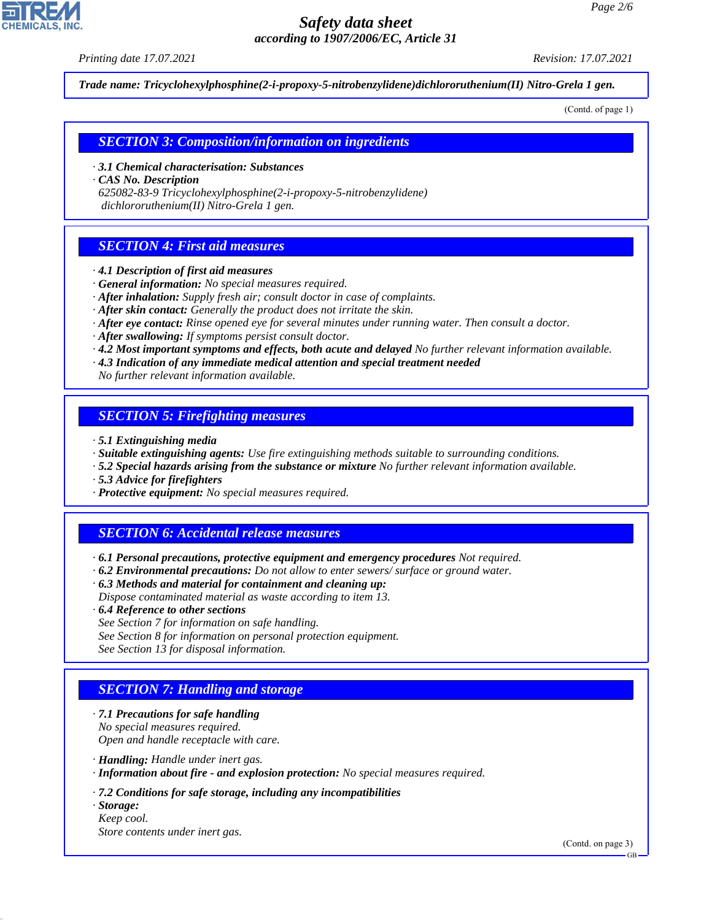*Printing date 17.07.2021 Revision: 17.07.2021*

*Trade name: Tricyclohexylphosphine(2-i-propoxy-5-nitrobenzylidene)dichlororuthenium(II) Nitro-Grela 1 gen.*

(Contd. of page 1)

*SECTION 3: Composition/information on ingredients*

*· 3.1 Chemical characterisation: Substances*

*· CAS No. Description*

*625082-83-9 Tricyclohexylphosphine(2-i-propoxy-5-nitrobenzylidene) dichlororuthenium(II) Nitro-Grela 1 gen.*

# *SECTION 4: First aid measures*

- *· 4.1 Description of first aid measures*
- *· General information: No special measures required.*
- *· After inhalation: Supply fresh air; consult doctor in case of complaints.*
- *· After skin contact: Generally the product does not irritate the skin.*
- *· After eye contact: Rinse opened eye for several minutes under running water. Then consult a doctor.*
- *· After swallowing: If symptoms persist consult doctor.*
- *· 4.2 Most important symptoms and effects, both acute and delayed No further relevant information available.*
- *· 4.3 Indication of any immediate medical attention and special treatment needed*
- *No further relevant information available.*

#### *SECTION 5: Firefighting measures*

- *· 5.1 Extinguishing media*
- *· Suitable extinguishing agents: Use fire extinguishing methods suitable to surrounding conditions.*
- *· 5.2 Special hazards arising from the substance or mixture No further relevant information available.*
- *· 5.3 Advice for firefighters*
- *· Protective equipment: No special measures required.*

### *SECTION 6: Accidental release measures*

- *· 6.1 Personal precautions, protective equipment and emergency procedures Not required.*
- *· 6.2 Environmental precautions: Do not allow to enter sewers/ surface or ground water.*
- *· 6.3 Methods and material for containment and cleaning up: Dispose contaminated material as waste according to item 13.*
- *· 6.4 Reference to other sections*
- *See Section 7 for information on safe handling.*
- *See Section 8 for information on personal protection equipment.*
- *See Section 13 for disposal information.*

### *SECTION 7: Handling and storage*

- *· 7.1 Precautions for safe handling No special measures required. Open and handle receptacle with care.*
- *· Handling: Handle under inert gas.*
- *· Information about fire and explosion protection: No special measures required.*
- *· 7.2 Conditions for safe storage, including any incompatibilities*
- *· Storage: Keep cool. Store contents under inert gas.*

44.1.1

(Contd. on page 3)

GB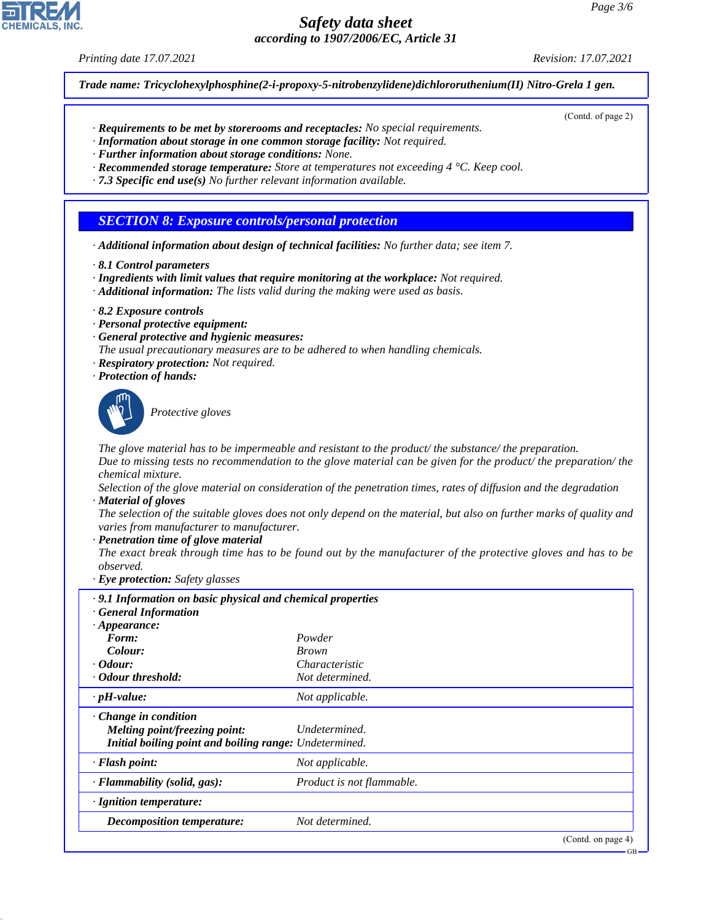*Printing date 17.07.2021 Revision: 17.07.2021*

(Contd. of page 2)

*Trade name: Tricyclohexylphosphine(2-i-propoxy-5-nitrobenzylidene)dichlororuthenium(II) Nitro-Grela 1 gen.*

- *· Requirements to be met by storerooms and receptacles: No special requirements.*
- *· Information about storage in one common storage facility: Not required.*
- *· Further information about storage conditions: None.*
- *· Recommended storage temperature: Store at temperatures not exceeding 4 °C. Keep cool.*
- *· 7.3 Specific end use(s) No further relevant information available.*

#### *SECTION 8: Exposure controls/personal protection*

- *· Additional information about design of technical facilities: No further data; see item 7.*
- *· 8.1 Control parameters*
- *· Ingredients with limit values that require monitoring at the workplace: Not required.*
- *· Additional information: The lists valid during the making were used as basis.*
- *· 8.2 Exposure controls*
- *· Personal protective equipment:*
- *· General protective and hygienic measures:*
- *The usual precautionary measures are to be adhered to when handling chemicals.*
- *· Respiratory protection: Not required.*
- *· Protection of hands:*



44.1.1

\_S*Protective gloves*

*The glove material has to be impermeable and resistant to the product/ the substance/ the preparation.*

*Due to missing tests no recommendation to the glove material can be given for the product/ the preparation/ the chemical mixture.*

*Selection of the glove material on consideration of the penetration times, rates of diffusion and the degradation · Material of gloves*

*The selection of the suitable gloves does not only depend on the material, but also on further marks of quality and varies from manufacturer to manufacturer.*

*· Penetration time of glove material*

*The exact break through time has to be found out by the manufacturer of the protective gloves and has to be observed.*

*· Eye protection: Safety glasses*

| .9.1 Information on basic physical and chemical properties |                           |                    |
|------------------------------------------------------------|---------------------------|--------------------|
| <b>General Information</b>                                 |                           |                    |
| $\cdot$ Appearance:                                        |                           |                    |
| Form:                                                      | Powder                    |                    |
| Colour:                                                    | <i>Brown</i>              |                    |
| $\cdot$ Odour:                                             | Characteristic            |                    |
| Odour threshold:                                           | Not determined.           |                    |
| $\cdot$ pH-value:                                          | Not applicable.           |                    |
| $\cdot$ Change in condition                                |                           |                    |
| Melting point/freezing point:                              | Undetermined.             |                    |
| Initial boiling point and boiling range: Undetermined.     |                           |                    |
| · Flash point:                                             | Not applicable.           |                    |
| $\cdot$ Flammability (solid, gas):                         | Product is not flammable. |                    |
| $\cdot$ Ignition temperature:                              |                           |                    |
| Decomposition temperature:                                 | Not determined.           |                    |
|                                                            |                           | (Contd. on page 4) |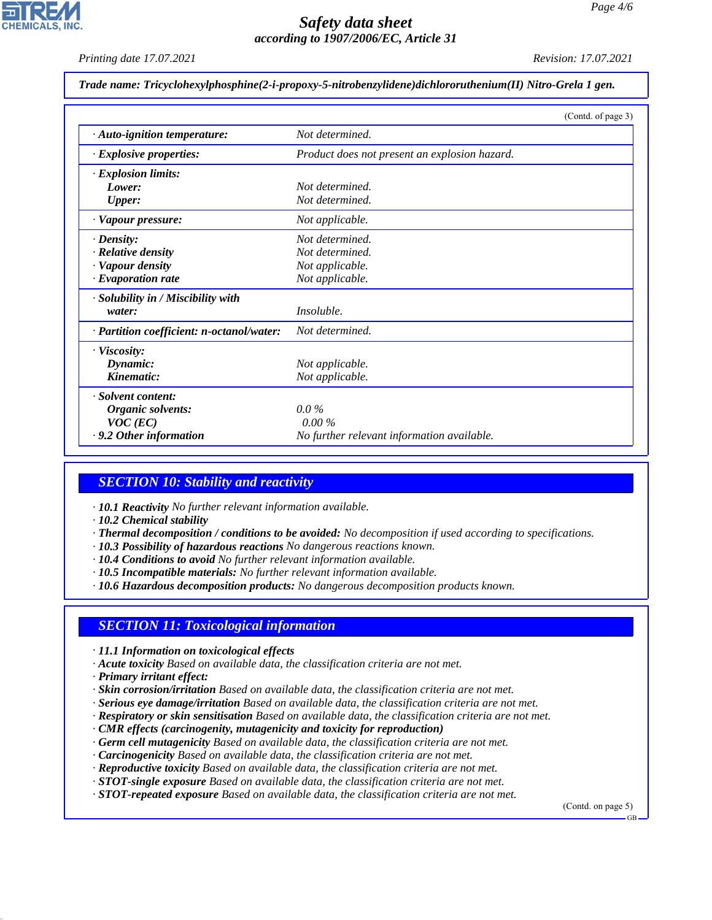*Printing date 17.07.2021 Revision: 17.07.2021*

*Trade name: Tricyclohexylphosphine(2-i-propoxy-5-nitrobenzylidene)dichlororuthenium(II) Nitro-Grela 1 gen.*

|                                                                                        | (Contd. of page 3)                                                       |
|----------------------------------------------------------------------------------------|--------------------------------------------------------------------------|
| $\cdot$ Auto-ignition temperature:                                                     | Not determined.                                                          |
| $\cdot$ Explosive properties:                                                          | Product does not present an explosion hazard.                            |
| $\cdot$ Explosion limits:<br>Lower:<br><b>Upper:</b>                                   | Not determined.<br>Not determined.                                       |
| · Vapour pressure:                                                                     | Not applicable.                                                          |
| $\cdot$ Density:<br>· Relative density<br>· Vapour density<br>$\cdot$ Evaporation rate | Not determined.<br>Not determined.<br>Not applicable.<br>Not applicable. |
| · Solubility in / Miscibility with<br>water:                                           | <i>Insoluble.</i>                                                        |
| · Partition coefficient: n-octanol/water:                                              | Not determined.                                                          |
| · Viscosity:<br>Dynamic:<br>Kinematic:                                                 | Not applicable.<br>Not applicable.                                       |
| · Solvent content:<br>Organic solvents:<br>$VOC$ (EC)<br>.9.2 Other information        | $0.0\%$<br>0.00%<br>No further relevant information available.           |

### *SECTION 10: Stability and reactivity*

- *· 10.1 Reactivity No further relevant information available.*
- *· 10.2 Chemical stability*
- *· Thermal decomposition / conditions to be avoided: No decomposition if used according to specifications.*
- *· 10.3 Possibility of hazardous reactions No dangerous reactions known.*
- *· 10.4 Conditions to avoid No further relevant information available.*
- *· 10.5 Incompatible materials: No further relevant information available.*
- *· 10.6 Hazardous decomposition products: No dangerous decomposition products known.*

# *SECTION 11: Toxicological information*

- *· 11.1 Information on toxicological effects*
- *· Acute toxicity Based on available data, the classification criteria are not met.*
- *· Primary irritant effect:*

44.1.1

- *· Skin corrosion/irritation Based on available data, the classification criteria are not met.*
- *· Serious eye damage/irritation Based on available data, the classification criteria are not met.*
- *· Respiratory or skin sensitisation Based on available data, the classification criteria are not met.*
- *· CMR effects (carcinogenity, mutagenicity and toxicity for reproduction)*
- *· Germ cell mutagenicity Based on available data, the classification criteria are not met.*
- *· Carcinogenicity Based on available data, the classification criteria are not met.*
- *· Reproductive toxicity Based on available data, the classification criteria are not met.*
- *· STOT-single exposure Based on available data, the classification criteria are not met.*
- *· STOT-repeated exposure Based on available data, the classification criteria are not met.*

(Contd. on page 5)

GB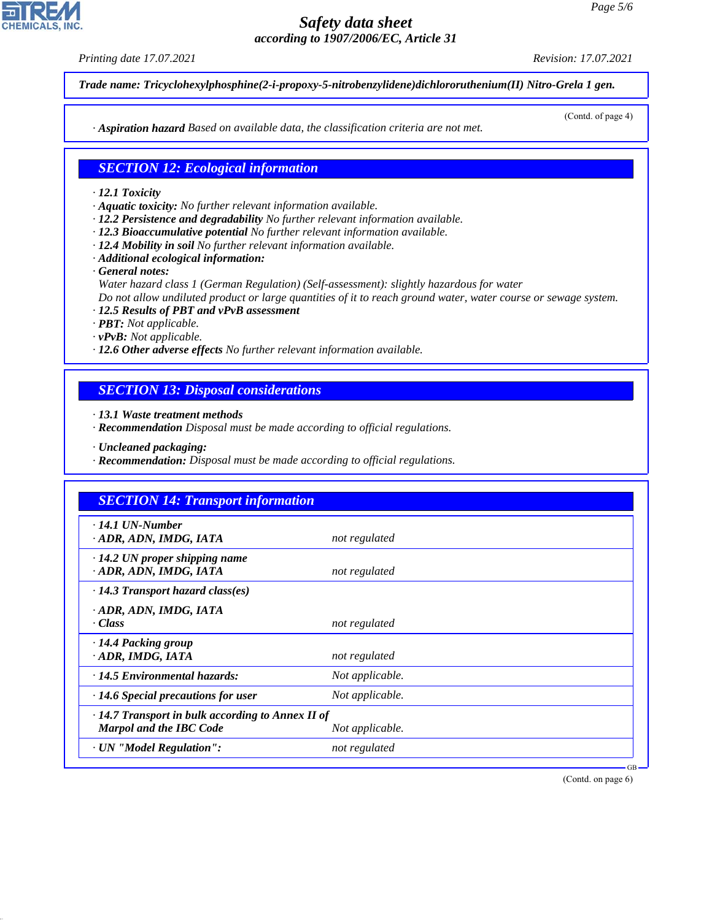*Printing date 17.07.2021 Revision: 17.07.2021*

*Trade name: Tricyclohexylphosphine(2-i-propoxy-5-nitrobenzylidene)dichlororuthenium(II) Nitro-Grela 1 gen.*

*· Aspiration hazard Based on available data, the classification criteria are not met.*

(Contd. of page 4)

#### *SECTION 12: Ecological information*

- *· 12.1 Toxicity*
- *· Aquatic toxicity: No further relevant information available.*
- *· 12.2 Persistence and degradability No further relevant information available.*
- *· 12.3 Bioaccumulative potential No further relevant information available.*
- *· 12.4 Mobility in soil No further relevant information available.*
- *· Additional ecological information:*
- *· General notes:*
	- *Water hazard class 1 (German Regulation) (Self-assessment): slightly hazardous for water Do not allow undiluted product or large quantities of it to reach ground water, water course or sewage system.*
- *· 12.5 Results of PBT and vPvB assessment*
- *· PBT: Not applicable.*
- *· vPvB: Not applicable.*
- *· 12.6 Other adverse effects No further relevant information available.*

#### *SECTION 13: Disposal considerations*

- *· 13.1 Waste treatment methods*
- *· Recommendation Disposal must be made according to official regulations.*
- *· Uncleaned packaging:*
- *· Recommendation: Disposal must be made according to official regulations.*

| <b>SECTION 14: Transport information</b>                                                  |                 |
|-------------------------------------------------------------------------------------------|-----------------|
| $\cdot$ 14.1 UN-Number<br>· ADR, ADN, IMDG, IATA                                          | not regulated   |
| $\cdot$ 14.2 UN proper shipping name<br>· ADR, ADN, IMDG, IATA                            | not regulated   |
| $\cdot$ 14.3 Transport hazard class(es)                                                   |                 |
| · ADR, ADN, IMDG, IATA<br>· Class                                                         | not regulated   |
| · 14.4 Packing group<br>· ADR, IMDG, IATA                                                 | not regulated   |
| · 14.5 Environmental hazards:                                                             | Not applicable. |
| $\cdot$ 14.6 Special precautions for user                                                 | Not applicable. |
| $\cdot$ 14.7 Transport in bulk according to Annex II of<br><b>Marpol and the IBC Code</b> | Not applicable. |
| · UN "Model Regulation":                                                                  | not regulated   |

(Contd. on page 6)

GB



44.1.1